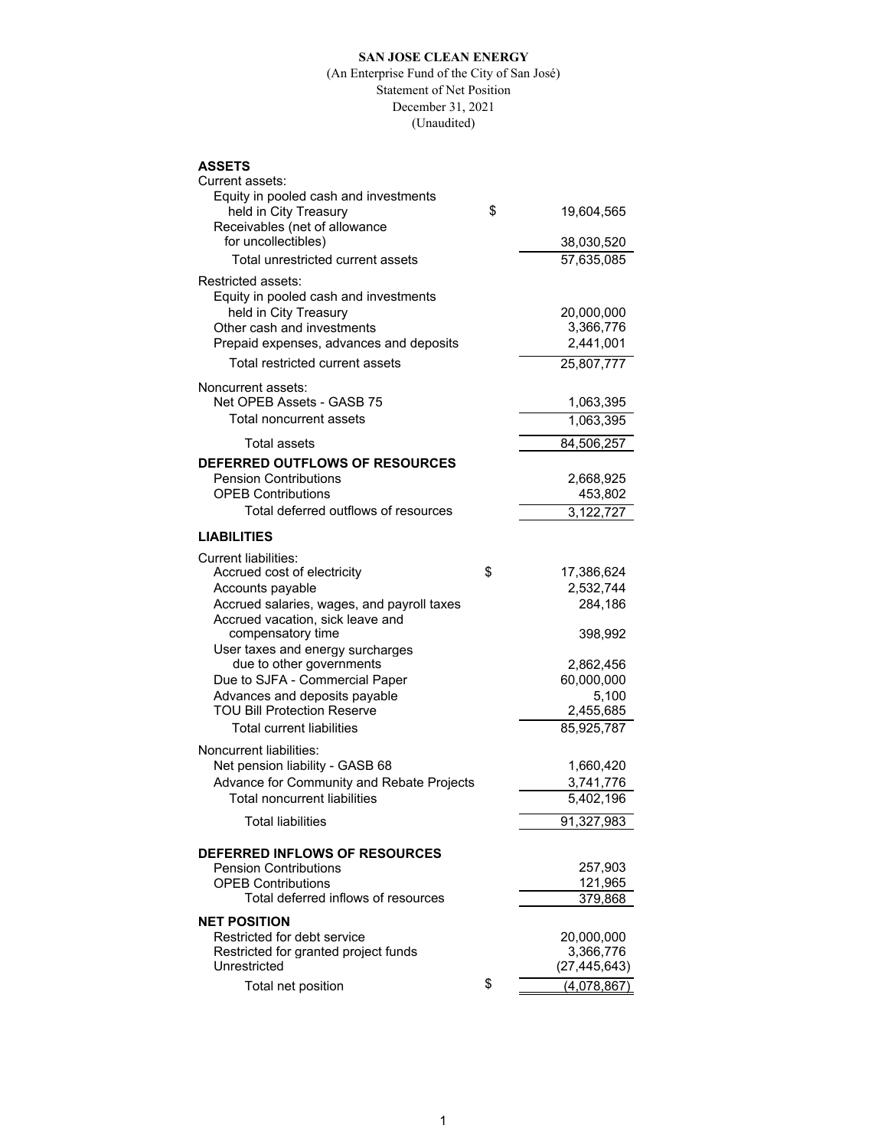### **SAN JOSE CLEAN ENERGY**

#### (An Enterprise Fund of the City of San José) Statement of Net Position December 31, 2021 (Unaudited)

# **ASSETS**

| Current assets:                                            |                   |
|------------------------------------------------------------|-------------------|
| Equity in pooled cash and investments                      |                   |
| held in City Treasury                                      | \$<br>19,604,565  |
| Receivables (net of allowance                              |                   |
| for uncollectibles)                                        | 38,030,520        |
| Total unrestricted current assets                          | 57,635,085        |
| Restricted assets:                                         |                   |
| Equity in pooled cash and investments                      |                   |
| held in City Treasury                                      | 20,000,000        |
| Other cash and investments                                 | 3,366,776         |
| Prepaid expenses, advances and deposits                    | 2,441,001         |
| Total restricted current assets                            | 25,807,777        |
| Noncurrent assets:                                         |                   |
| Net OPEB Assets - GASB 75                                  | 1,063,395         |
|                                                            |                   |
| Total noncurrent assets                                    | 1,063,395         |
| Total assets                                               | 84,506,257        |
| DEFERRED OUTFLOWS OF RESOURCES                             |                   |
| <b>Pension Contributions</b>                               | 2,668,925         |
| <b>OPEB Contributions</b>                                  | 453,802           |
| Total deferred outflows of resources                       | 3,122,727         |
| <b>LIABILITIES</b>                                         |                   |
| Current liabilities:                                       |                   |
| Accrued cost of electricity                                | \$<br>17,386,624  |
| Accounts payable                                           | 2,532,744         |
| Accrued salaries, wages, and payroll taxes                 | 284,186           |
| Accrued vacation, sick leave and                           |                   |
| compensatory time                                          | 398,992           |
| User taxes and energy surcharges                           |                   |
| due to other governments                                   | 2,862,456         |
| Due to SJFA - Commercial Paper                             | 60,000,000        |
| Advances and deposits payable                              | 5,100             |
| <b>TOU Bill Protection Reserve</b>                         | 2,455,685         |
| Total current liabilities                                  | 85,925,787        |
|                                                            |                   |
| Noncurrent liabilities:<br>Net pension liability - GASB 68 | 1,660,420         |
| Advance for Community and Rebate Projects                  | 3,741,776         |
| <b>Total noncurrent liabilities</b>                        | 5,402,196         |
|                                                            |                   |
| Total liabilities                                          | 91,327,983        |
| DEFERRED INFLOWS OF RESOURCES                              |                   |
| <b>Pension Contributions</b>                               | 257,903           |
| <b>OPEB Contributions</b>                                  | 121,965           |
| Total deferred inflows of resources                        | 379,868           |
| <b>NET POSITION</b>                                        |                   |
| Restricted for debt service                                | 20,000,000        |
| Restricted for granted project funds                       | 3,366,776         |
| Unrestricted                                               | (27, 445, 643)    |
| Total net position                                         | \$<br>(4,078,867) |
|                                                            |                   |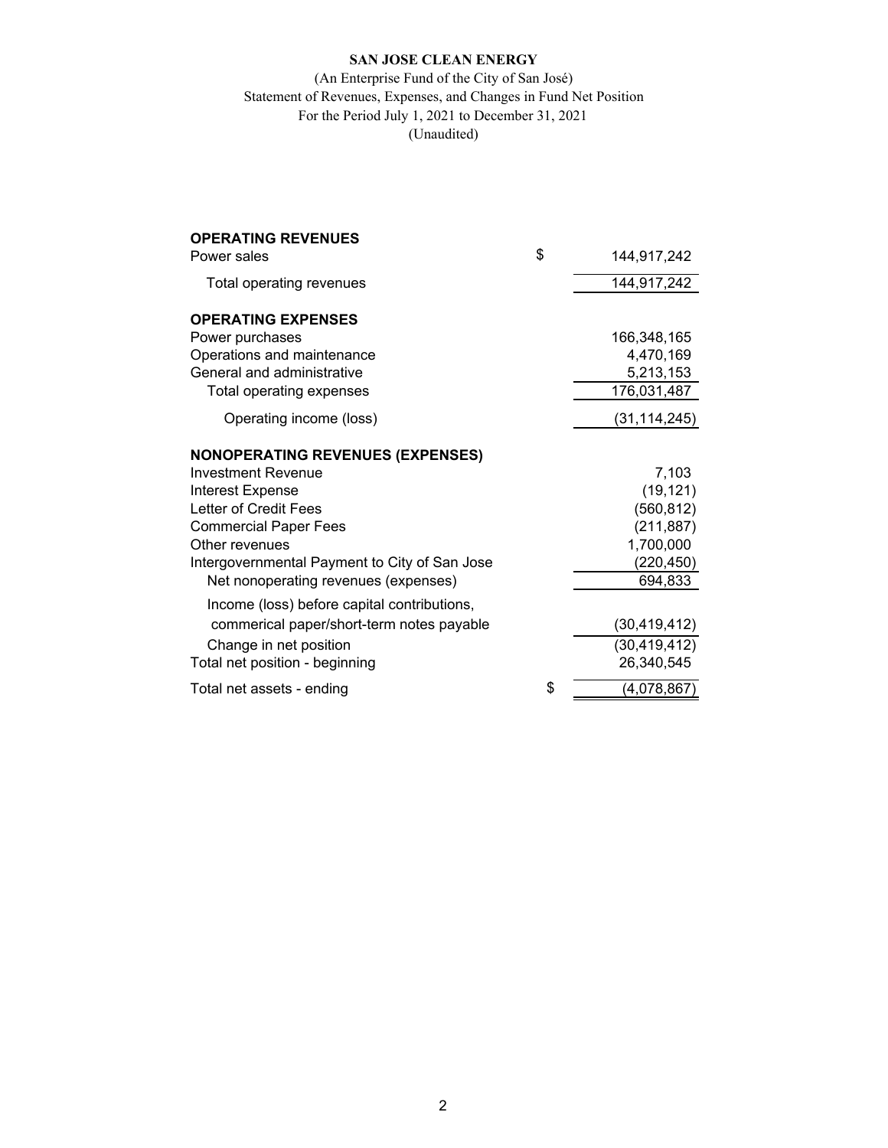## **SAN JOSE CLEAN ENERGY**

## (An Enterprise Fund of the City of San José) Statement of Revenues, Expenses, and Changes in Fund Net Position For the Period July 1, 2021 to December 31, 2021 (Unaudited)

| <b>OPERATING REVENUES</b>                     |                   |
|-----------------------------------------------|-------------------|
| Power sales                                   | \$<br>144,917,242 |
| Total operating revenues                      | 144,917,242       |
| <b>OPERATING EXPENSES</b>                     |                   |
| Power purchases                               | 166,348,165       |
| Operations and maintenance                    | 4,470,169         |
| General and administrative                    | 5,213,153         |
| Total operating expenses                      | 176,031,487       |
| Operating income (loss)                       | (31, 114, 245)    |
| <b>NONOPERATING REVENUES (EXPENSES)</b>       |                   |
| <b>Investment Revenue</b>                     | 7,103             |
| Interest Expense                              | (19, 121)         |
| Letter of Credit Fees                         | (560, 812)        |
| <b>Commercial Paper Fees</b>                  | (211, 887)        |
| Other revenues                                | 1,700,000         |
| Intergovernmental Payment to City of San Jose | (220, 450)        |
| Net nonoperating revenues (expenses)          | 694,833           |
| Income (loss) before capital contributions,   |                   |
| commerical paper/short-term notes payable     | (30, 419, 412)    |
| Change in net position                        | (30, 419, 412)    |
| Total net position - beginning                | 26,340,545        |
| Total net assets - ending                     | \$<br>(4,078,867) |